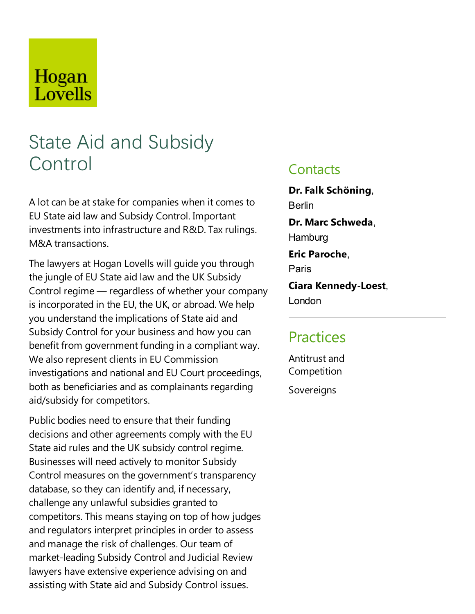# Hogan Lovells

# State Aid and Subsidy Control

A lot can be at stake for companies when it comes to EU State aid law and Subsidy Control. Important investments into infrastructure and R&D. Tax rulings. M&A transactions.

The lawyers at Hogan Lovells will guide you through the jungle of EU State aid law and the UK Subsidy Control regime ― regardless of whether your company is incorporated in the EU, the UK, or abroad. We help you understand the implications of State aid and Subsidy Control for your business and how you can benefit from government funding in a compliant way. We also represent clients in EU Commission investigations and national and EU Court proceedings, both as beneficiaries and as complainants regarding aid/subsidy for competitors.

Public bodies need to ensure that their funding decisions and other agreements comply with the EU State aid rules and the UK subsidy control regime. Businesses will need actively to monitor Subsidy Control measures on the government's transparency database, so they can identify and, if necessary, challenge any unlawful subsidies granted to competitors.This means staying on top of how judges and regulators interpret principles in order to assess and manage the risk of challenges. Our team of market-leading Subsidy Control and Judicial Review lawyers have extensive experience advising on and assisting with State aid and Subsidy Control issues.

### **Contacts**

**Dr.Falk Schöning**, Berlin **Dr. Marc Schweda**, **Hamburg Eric Paroche**, Paris

**Ciara Kennedy-Loest**, London

## **Practices**

Antitrustand Competition

Sovereigns